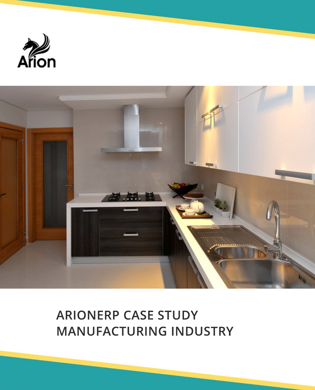



# **ARIONERP CASE STUDY MANUFACTURING INDUSTRY**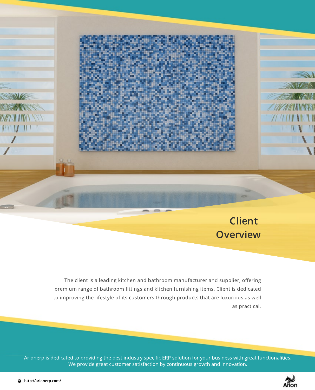

**Overview**

The client is a leading kitchen and bathroom manufacturer and supplier, offering premium range of bathroom fittings and kitchen furnishing items. Client is dedicated to improving the lifestyle of its customers through products that are luxurious as well as practical.

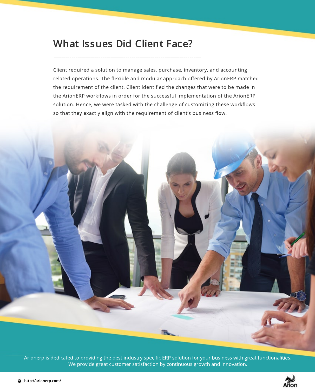#### **What Issues Did Client Face?**

Client required a solution to manage sales, purchase, inventory, and accounting related operations. The flexible and modular approach offered by ArionERP matched the requirement of the client. Client identified the changes that were to be made in the ArionERP workflows in order for the successful implementation of the ArionERP solution. Hence, we were tasked with the challenge of customizing these workflows so that they exactly align with the requirement of client's business flow.



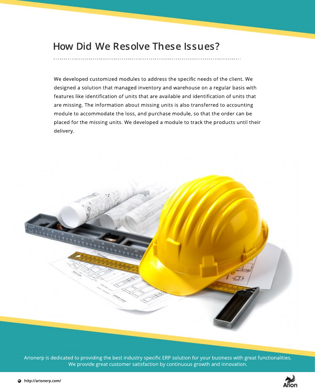#### **How Did We Resolve These Issues?**

We developed customized modules to address the specific needs of the client. We designed a solution that managed inventory and warehouse on a regular basis with features like identification of units that are available and identification of units that are missing. The information about missing units is also transferred to accounting module to accommodate the loss, and purchase module, so that the order can be placed for the missing units. We developed a module to track the products until their delivery.